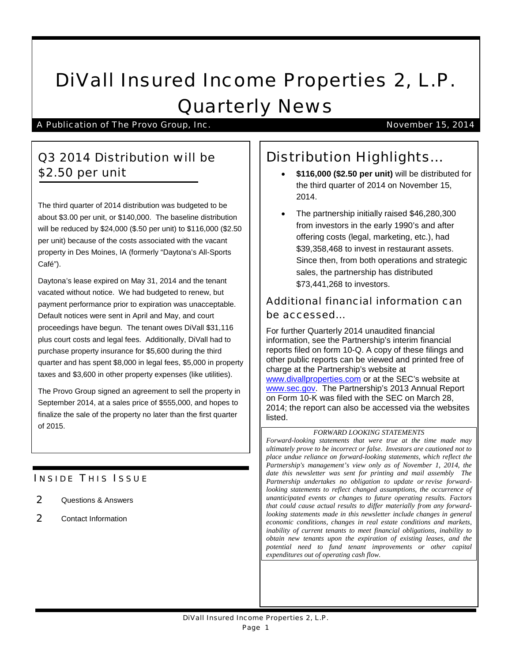# DiVall Insured Income Properties 2, L.P. Quarterly News

A Publication of The Provo Group, Inc. November 15, 2014

### Q3 2014 Distribution will be \$2.50 per unit

The third quarter of 2014 distribution was budgeted to be about \$3.00 per unit, or \$140,000. The baseline distribution will be reduced by \$24,000 (\$.50 per unit) to \$116,000 (\$2.50 per unit) because of the costs associated with the vacant property in Des Moines, IA (formerly "Daytona's All-Sports Café").

Daytona's lease expired on May 31, 2014 and the tenant vacated without notice. We had budgeted to renew, but payment performance prior to expiration was unacceptable. Default notices were sent in April and May, and court proceedings have begun. The tenant owes DiVall \$31,116 plus court costs and legal fees. Additionally, DiVall had to purchase property insurance for \$5,600 during the third quarter and has spent \$8,000 in legal fees, \$5,000 in property taxes and \$3,600 in other property expenses (like utilities).

The Provo Group signed an agreement to sell the property in September 2014, at a sales price of \$555,000, and hopes to finalize the sale of the property no later than the first quarter of 2015.

### **INSIDE THIS ISSUE**

- 2 Questions & Answers
- 2 Contact Information

## Distribution Highlights…

- **\$116,000 (\$2.50 per unit)** will be distributed for the third quarter of 2014 on November 15, 2014.
- The partnership initially raised \$46,280,300 from investors in the early 1990's and after offering costs (legal, marketing, etc.), had \$39,358,468 to invest in restaurant assets. Since then, from both operations and strategic sales, the partnership has distributed \$73,441,268 to investors.

### Additional financial information can be accessed…

For further Quarterly 2014 unaudited financial information, see the Partnership's interim financial reports filed on form 10-Q. A copy of these filings and other public reports can be viewed and printed free of charge at the Partnership's website at [www.divallproperties.com](http://www.divallproperties.com/) or at the SEC's website at [www.sec.gov.](http://www.sec.gov/) The Partnership's 2013 Annual Report on Form 10-K was filed with the SEC on March 28, 2014; the report can also be accessed via the websites listed.

### *FORWARD LOOKING STATEMENTS*

*Forward-looking statements that were true at the time made may ultimately prove to be incorrect or false. Investors are cautioned not to place undue reliance on forward-looking statements, which reflect the Partnership's management's view only as of November 1, 2014, the date this newsletter was sent for printing and mail assembly The Partnership undertakes no obligation to update or revise forwardlooking statements to reflect changed assumptions, the occurrence of unanticipated events or changes to future operating results. Factors that could cause actual results to differ materially from any forwardlooking statements made in this newsletter include changes in general economic conditions, changes in real estate conditions and markets, inability of current tenants to meet financial obligations, inability to obtain new tenants upon the expiration of existing leases, and the potential need to fund tenant improvements or other capital expenditures out of operating cash flow.*